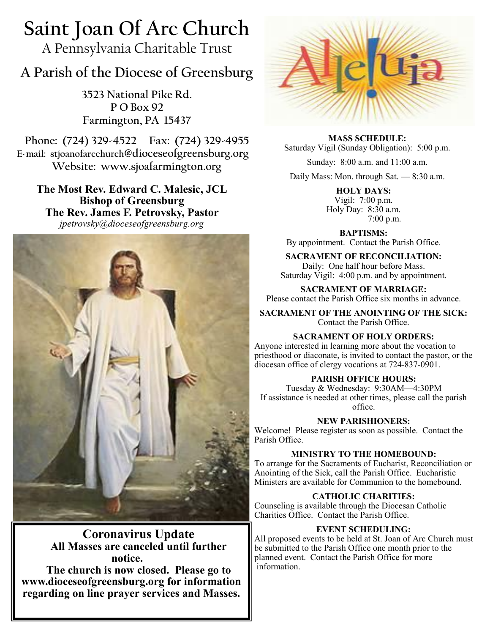# **Saint Joan Of Arc Church**

A Pennsylvania Charitable Trust

## **A Parish of the Diocese of Greensburg**

**3523 National Pike Rd. P O Box 92 Farmington, PA 15437**

**Phone: (724) 329-4522 Fax: (724) 329-4955 E-mail: stjoanofarcchurch@dioceseofgreensburg.org Website: www.sjoafarmington.org**

**The Most Rev. Edward C. Malesic, JCL Bishop of Greensburg The Rev. James F. Petrovsky, Pastor** *jpetrovsky@dioceseofgreensburg.org*



## **Coronavirus Update All Masses are canceled until further notice.**

**The church is now closed. Please go to www.dioceseofgreensburg.org for information regarding on line prayer services and Masses.**



**MASS SCHEDULE:** Saturday Vigil (Sunday Obligation): 5:00 p.m.

Sunday: 8:00 a.m. and 11:00 a.m.

Daily Mass: Mon. through Sat. — 8:30 a.m.

**HOLY DAYS:** Vigil: 7:00 p.m. Holy Day: 8:30 a.m. 7:00 p.m.

**BAPTISMS:**  By appointment. Contact the Parish Office.

**SACRAMENT OF RECONCILIATION:** Daily: One half hour before Mass. Saturday Vigil: 4:00 p.m. and by appointment.

**SACRAMENT OF MARRIAGE:**

Please contact the Parish Office six months in advance.

**SACRAMENT OF THE ANOINTING OF THE SICK:** Contact the Parish Office.

## **SACRAMENT OF HOLY ORDERS:**

Anyone interested in learning more about the vocation to priesthood or diaconate, is invited to contact the pastor, or the diocesan office of clergy vocations at 724-837-0901.

## **PARISH OFFICE HOURS:**

Tuesday & Wednesday: 9:30AM—4:30PM If assistance is needed at other times, please call the parish office.

**NEW PARISHIONERS:**

Welcome! Please register as soon as possible. Contact the Parish Office.

## **MINISTRY TO THE HOMEBOUND:**

To arrange for the Sacraments of Eucharist, Reconciliation or Anointing of the Sick, call the Parish Office. Eucharistic Ministers are available for Communion to the homebound.

## **CATHOLIC CHARITIES:**

Counseling is available through the Diocesan Catholic Charities Office. Contact the Parish Office.

## **EVENT SCHEDULING:**

All proposed events to be held at St. Joan of Arc Church must be submitted to the Parish Office one month prior to the planned event. Contact the Parish Office for more information.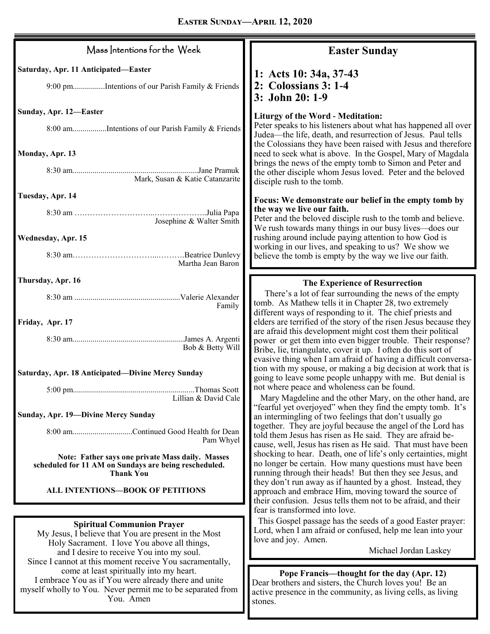| Mass Intentions for the Week                                                                                                                                                           | <b>Easter Sunday</b>                                                                                                                                                                                                                                                                                                                                                                            |
|----------------------------------------------------------------------------------------------------------------------------------------------------------------------------------------|-------------------------------------------------------------------------------------------------------------------------------------------------------------------------------------------------------------------------------------------------------------------------------------------------------------------------------------------------------------------------------------------------|
| Saturday, Apr. 11 Anticipated-Easter<br>9:00 pmIntentions of our Parish Family & Friends                                                                                               | 1: Acts 10: 34a, 37-43<br>2: Colossians 3: 1-4<br>3: John 20: 1-9                                                                                                                                                                                                                                                                                                                               |
| Sunday, Apr. 12-Easter<br>8:00 amIntentions of our Parish Family & Friends                                                                                                             | <b>Liturgy of the Word - Meditation:</b><br>Peter speaks to his listeners about what has happened all over<br>Judea—the life, death, and resurrection of Jesus. Paul tells<br>the Colossians they have been raised with Jesus and therefore                                                                                                                                                     |
| Monday, Apr. 13<br>Mark, Susan & Katie Catanzarite                                                                                                                                     | need to seek what is above. In the Gospel, Mary of Magdala<br>brings the news of the empty tomb to Simon and Peter and<br>the other disciple whom Jesus loved. Peter and the beloved<br>disciple rush to the tomb.                                                                                                                                                                              |
| Tuesday, Apr. 14<br>Josephine & Walter Smith<br>Wednesday, Apr. 15<br>Martha Jean Baron                                                                                                | Focus: We demonstrate our belief in the empty tomb by<br>the way we live our faith.<br>Peter and the beloved disciple rush to the tomb and believe.<br>We rush towards many things in our busy lives—does our<br>rushing around include paying attention to how God is<br>working in our lives, and speaking to us? We show we<br>believe the tomb is empty by the way we live our faith.       |
| Thursday, Apr. 16<br>Family                                                                                                                                                            | The Experience of Resurrection<br>There's a lot of fear surrounding the news of the empty<br>tomb. As Mathew tells it in Chapter 28, two extremely                                                                                                                                                                                                                                              |
| Friday, Apr. 17<br>Bob & Betty Will                                                                                                                                                    | different ways of responding to it. The chief priests and<br>elders are terrified of the story of the risen Jesus because they<br>are afraid this development might cost them their political<br>power or get them into even bigger trouble. Their response?<br>Bribe, lie, triangulate, cover it up. I often do this sort of<br>evasive thing when I am afraid of having a difficult conversa- |
| Saturday, Apr. 18 Anticipated-Divine Mercy Sunday<br>Lillian & David Cale                                                                                                              | tion with my spouse, or making a big decision at work that is<br>going to leave some people unhappy with me. But denial is<br>not where peace and wholeness can be found.<br>Mary Magdeline and the other Mary, on the other hand, are                                                                                                                                                          |
| Sunday, Apr. 19-Divine Mercy Sunday<br>8:00 amContinued Good Health for Dean<br>Pam Whyel                                                                                              | "fearful yet overjoyed" when they find the empty tomb. It's<br>an intermingling of two feelings that don't usually go<br>together. They are joyful because the angel of the Lord has<br>told them Jesus has risen as He said. They are afraid be-<br>cause, well, Jesus has risen as He said. That must have been                                                                               |
| Note: Father says one private Mass daily. Masses<br>scheduled for 11 AM on Sundays are being rescheduled.<br><b>Thank You</b>                                                          | shocking to hear. Death, one of life's only certainties, might<br>no longer be certain. How many questions must have been<br>running through their heads! But then they see Jesus, and<br>they don't run away as if haunted by a ghost. Instead, they                                                                                                                                           |
| <b>ALL INTENTIONS-BOOK OF PETITIONS</b>                                                                                                                                                | approach and embrace Him, moving toward the source of<br>their confusion. Jesus tells them not to be afraid, and their<br>fear is transformed into love.                                                                                                                                                                                                                                        |
| <b>Spiritual Communion Prayer</b><br>My Jesus, I believe that You are present in the Most<br>Holy Sacrament. I love You above all things,<br>and I desire to receive You into my soul. | This Gospel passage has the seeds of a good Easter prayer:<br>Lord, when I am afraid or confused, help me lean into your<br>love and joy. Amen.<br>Michael Jordan Laskey                                                                                                                                                                                                                        |
| Since I cannot at this moment receive You sacramentally,<br>come at least spiritually into my heart.<br>I embrace You as if You were already there and unite                           | Pope Francis—thought for the day (Apr. 12)<br>Dear brothers and sisters the Church loves you! Be an                                                                                                                                                                                                                                                                                             |

myself wholly to You. Never permit me to be separated from You. Amen

Dear brothers and sisters, the Church loves you! Be an active presence in the community, as living cells, as living stones.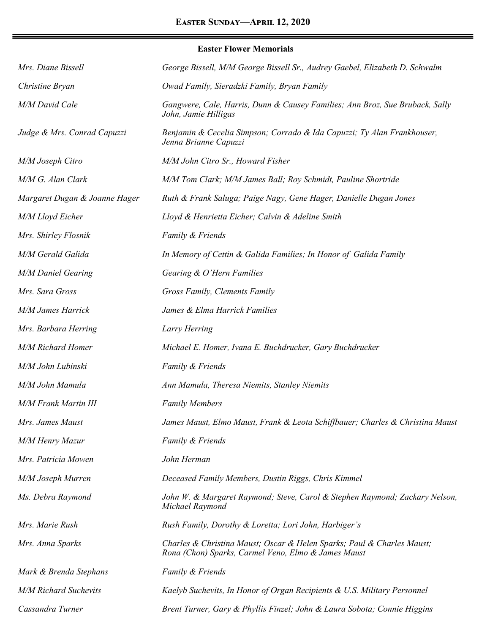|                               | <b>Easter Flower Memorials</b>                                                                       |
|-------------------------------|------------------------------------------------------------------------------------------------------|
| Mrs. Diane Bissell            | George Bissell, M/M George Bissell Sr., Audrey Gaebel, Elizabeth D. Schwalm                          |
| Christine Bryan               | Owad Family, Sieradzki Family, Bryan Family                                                          |
| <b>M/M David Cale</b>         | Gangwere, Cale, Harris, Dunn & Causey Families; Ann Broz, Sue Bruback, Sally<br>John, Jamie Hilligas |
| Judge & Mrs. Conrad Capuzzi   | Benjamin & Cecelia Simpson; Corrado & Ida Capuzzi; Ty Alan Frankhouser,<br>Jenna Brianne Capuzzi     |
| M/M Joseph Citro              | M/M John Citro Sr., Howard Fisher                                                                    |
| M/M G. Alan Clark             | M/M Tom Clark; M/M James Ball; Roy Schmidt, Pauline Shortride                                        |
| Margaret Dugan & Joanne Hager | Ruth & Frank Saluga; Paige Nagy, Gene Hager, Danielle Dugan Jones                                    |
| M/M Lloyd Eicher              | Lloyd & Henrietta Eicher; Calvin & Adeline Smith                                                     |
| Mrs. Shirley Flosnik          | Family & Friends                                                                                     |
| M/M Gerald Galida             | In Memory of Cettin & Galida Families; In Honor of Galida Family                                     |
| <b>M/M Daniel Gearing</b>     | Gearing & O'Hern Families                                                                            |
| Mrs. Sara Gross               | Gross Family, Clements Family                                                                        |
| <b>M/M James Harrick</b>      | James & Elma Harrick Families                                                                        |
| Mrs. Barbara Herring          | Larry Herring                                                                                        |
| <b>M/M Richard Homer</b>      | Michael E. Homer, Ivana E. Buchdrucker, Gary Buchdrucker                                             |
| M/M John Lubinski             | Family & Friends                                                                                     |
| M/M John Mamula               | Ann Mamula, Theresa Niemits, Stanley Niemits                                                         |
| <b>M/M Frank Martin III</b>   | <b>Family Members</b>                                                                                |
| Mrs. James Maust              | James Maust, Elmo Maust, Frank & Leota Schiffbauer; Charles & Christina Maust                        |
| M/M Henry Mazur               | Family & Friends                                                                                     |
| Mrs. Patricia Mowen           | John Herman                                                                                          |
|                               |                                                                                                      |

*Michael Raymond*

*M/M Joseph Murren Deceased Family Members, Dustin Riggs, Chris Kimmel*

*Ms. Debra Raymond John W. & Margaret Raymond; Steve, Carol & Stephen Raymond; Zackary Nelson,* 

*Mrs. Marie Rush Rush Family, Dorothy & Loretta; Lori John, Harbiger's Mrs. Anna Sparks Charles & Christina Maust; Oscar & Helen Sparks; Paul & Charles Maust;* 

*Mark & Brenda Stephans Family & Friends*

*M/M Richard Suchevits Kaelyb Suchevits, In Honor of Organ Recipients & U.S. Military Personnel*

*Rona (Chon) Sparks, Carmel Veno, Elmo & James Maust*

*Cassandra Turner Brent Turner, Gary & Phyllis Finzel; John & Laura Sobota; Connie Higgins*